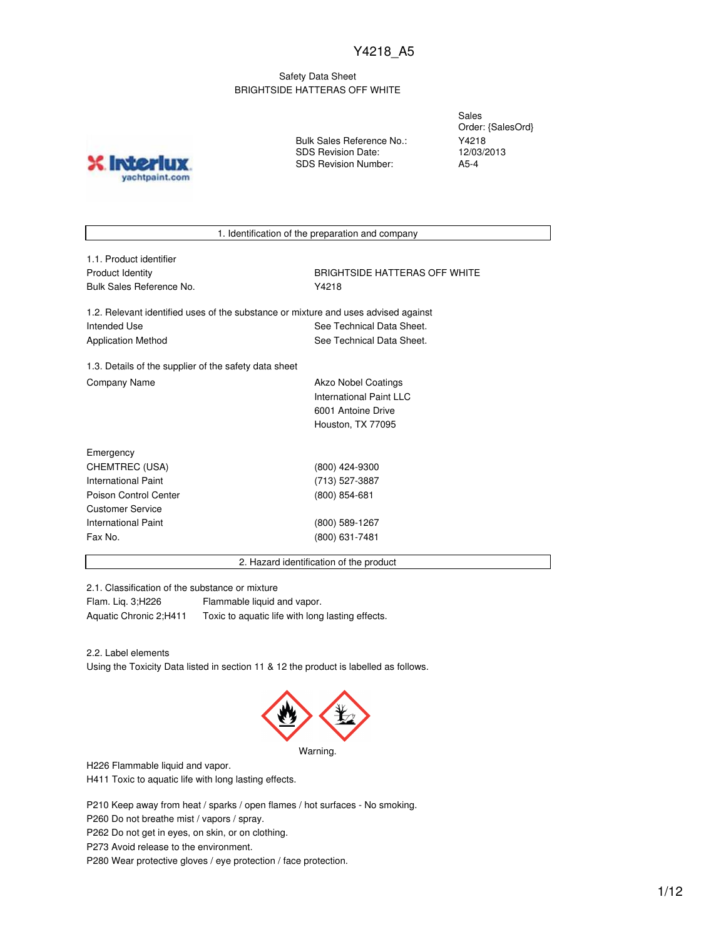### Safety Data Sheet BRIGHTSIDE HATTERAS OFF WHITE

**IND?** yachtpaint.com Bulk Sales Reference No.: SDS Revision Date: SDS Revision Number:

Sales Order: {SalesOrd} Y4218 12/03/2013 A5-4

1. Identification of the preparation and company

1.1. Product identifier Bulk Sales Reference No. **Washington** P4218

Product Identity **BRIGHTSIDE HATTERAS OFF WHITE** 

1.2. Relevant identified uses of the substance or mixture and uses advised against Intended Use **See Technical Data Sheet.** See Technical Data Sheet. Application Method See Technical Data Sheet.

1.3. Details of the supplier of the safety data sheet Company Name **Akzo Nobel Coatings** Company Name

International Paint LLC 6001 Antoine Drive Houston, TX 77095

| Emergency             |                 |  |
|-----------------------|-----------------|--|
| CHEMTREC (USA)        | (800) 424-9300  |  |
| International Paint   | (713) 527-3887  |  |
| Poison Control Center | $(800)$ 854-681 |  |
| Customer Service      |                 |  |
| International Paint   | (800) 589-1267  |  |
| Fax No.               | (800) 631-7481  |  |
|                       |                 |  |

2. Hazard identification of the product

2.1. Classification of the substance or mixture

Flam. Liq. 3;H226 Flammable liquid and vapor. Aquatic Chronic 2;H411 Toxic to aquatic life with long lasting effects.

2.2. Label elements

Using the Toxicity Data listed in section 11 & 12 the product is labelled as follows.



Warning.

H226 Flammable liquid and vapor.

H411 Toxic to aquatic life with long lasting effects.

P210 Keep away from heat / sparks / open flames / hot surfaces - No smoking.

P260 Do not breathe mist / vapors / spray.

P262 Do not get in eyes, on skin, or on clothing.

P273 Avoid release to the environment.

P280 Wear protective gloves / eye protection / face protection.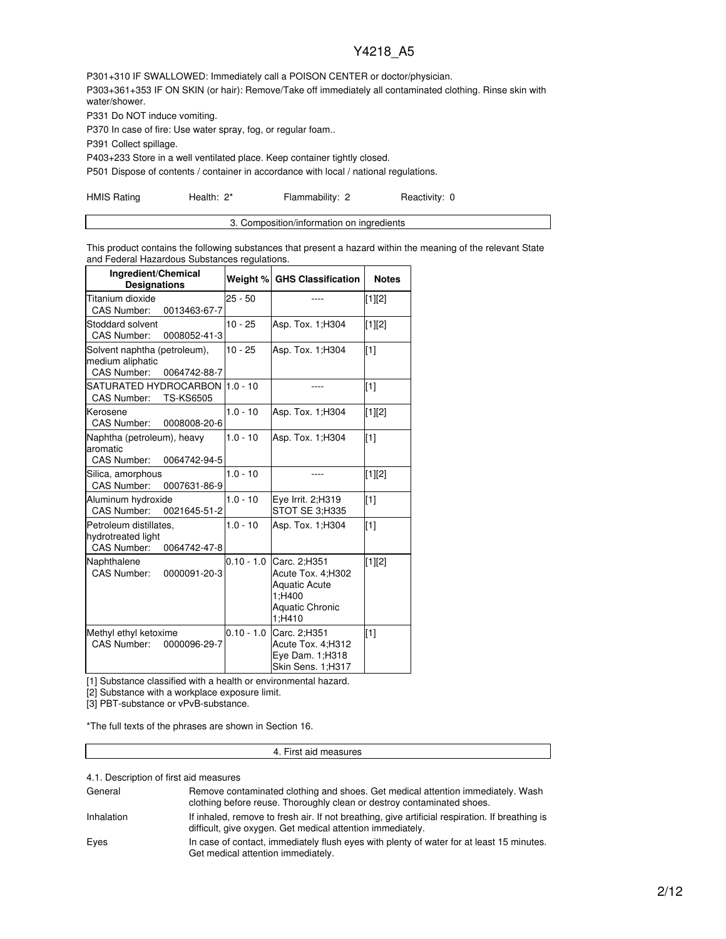P301+310 IF SWALLOWED: Immediately call a POISON CENTER or doctor/physician. P303+361+353 IF ON SKIN (or hair): Remove/Take off immediately all contaminated clothing. Rinse skin with water/shower.

P331 Do NOT induce vomiting.

P370 In case of fire: Use water spray, fog, or regular foam..

P391 Collect spillage.

P403+233 Store in a well ventilated place. Keep container tightly closed.

P501 Dispose of contents / container in accordance with local / national regulations.

HMIS Rating **Health: 2\*** Flammability: 2 Reactivity: 0

| 3. Composition/information on ingredients |
|-------------------------------------------|

This product contains the following substances that present a hazard within the meaning of the relevant State and Federal Hazardous Substances regulations.

| Ingredient/Chemical<br><b>Designations</b>                                         | Weight %     | <b>GHS Classification</b>                                                                               | <b>Notes</b> |
|------------------------------------------------------------------------------------|--------------|---------------------------------------------------------------------------------------------------------|--------------|
| Titanium dioxide<br>CAS Number:<br>0013463-67-7                                    | $25 - 50$    |                                                                                                         | [1][2]       |
| Stoddard solvent<br><b>CAS Number:</b><br>0008052-41-3                             | $10 - 25$    | Asp. Tox. 1; H304                                                                                       | [1][2]       |
| Solvent naphtha (petroleum),<br>medium aliphatic<br>CAS Number:<br>0064742-88-7    | $10 - 25$    | Asp. Tox. 1; H304                                                                                       | [1]          |
| <b>CAS Number:</b><br><b>TS-KS6505</b>                                             |              |                                                                                                         | $\sqrt{11}$  |
| Kerosene<br><b>CAS Number:</b><br>0008008-20-6                                     | $1.0 - 10$   | Asp. Tox. 1; H304                                                                                       | $[1][2]$     |
| Naphtha (petroleum), heavy<br>aromatic<br>CAS Number:<br>0064742-94-5              | $1.0 - 10$   | Asp. Tox. 1; H304                                                                                       | $\sqrt{11}$  |
| Silica, amorphous<br>CAS Number:<br>0007631-86-9                                   | $1.0 - 10$   | ----                                                                                                    | $[1][2]$     |
| Aluminum hydroxide<br><b>CAS Number:</b><br>0021645-51-2                           | $1.0 - 10$   | Eye Irrit. 2;H319<br>STOT SE 3:H335                                                                     | $\sqrt{11}$  |
| Petroleum distillates,<br>hydrotreated light<br><b>CAS Number:</b><br>0064742-47-8 | $1.0 - 10$   | Asp. Tox. 1; H304                                                                                       | $\sqrt{11}$  |
| Naphthalene<br><b>CAS Number:</b><br>0000091-20-3                                  | $0.10 - 1.0$ | Carc. 2:H351<br>Acute Tox. 4;H302<br><b>Aquatic Acute</b><br>1:H400<br><b>Aquatic Chronic</b><br>1:H410 | [1][2]       |
| Methyl ethyl ketoxime<br>CAS Number:<br>0000096-29-7                               | $0.10 - 1.0$ | Carc. 2;H351<br>Acute Tox. 4;H312<br>Eye Dam. 1;H318<br>Skin Sens. 1;H317                               | $\sqrt{11}$  |

[1] Substance classified with a health or environmental hazard.

[2] Substance with a workplace exposure limit.

[3] PBT-substance or vPvB-substance.

\*The full texts of the phrases are shown in Section 16.

### 4. First aid measures

4.1. Description of first aid measures

| General    | Remove contaminated clothing and shoes. Get medical attention immediately. Wash<br>clothing before reuse. Thoroughly clean or destroy contaminated shoes.     |
|------------|---------------------------------------------------------------------------------------------------------------------------------------------------------------|
| Inhalation | If inhaled, remove to fresh air. If not breathing, give artificial respiration. If breathing is<br>difficult, give oxygen. Get medical attention immediately. |
| Eyes       | In case of contact, immediately flush eyes with plenty of water for at least 15 minutes.<br>Get medical attention immediately.                                |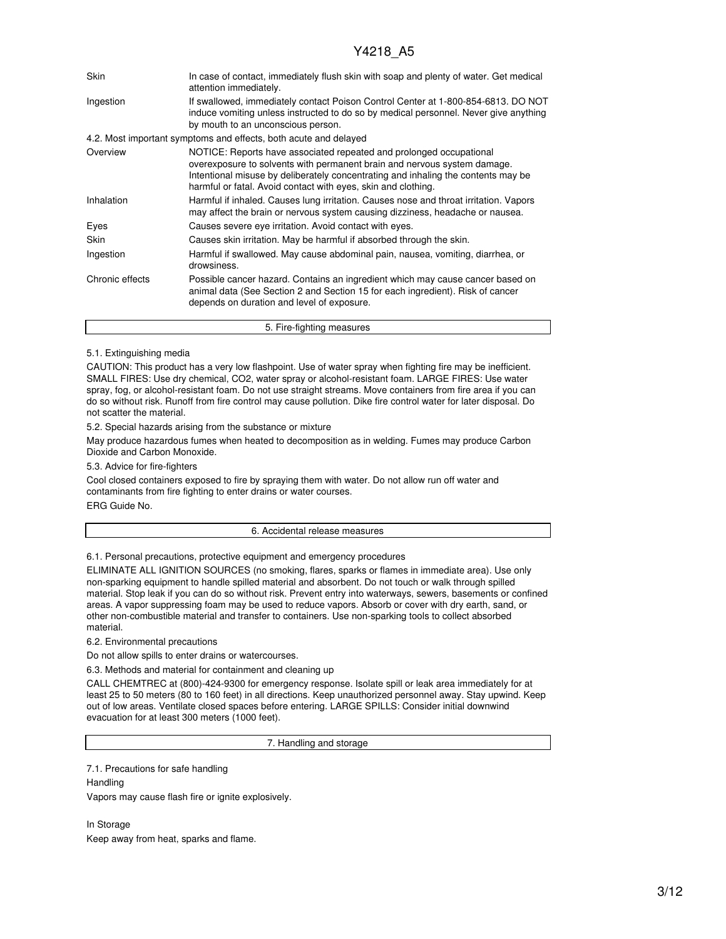| <b>Skin</b>     | In case of contact, immediately flush skin with soap and plenty of water. Get medical<br>attention immediately.                                                                                                                                                                                       |
|-----------------|-------------------------------------------------------------------------------------------------------------------------------------------------------------------------------------------------------------------------------------------------------------------------------------------------------|
| Ingestion       | If swallowed, immediately contact Poison Control Center at 1-800-854-6813. DO NOT<br>induce vomiting unless instructed to do so by medical personnel. Never give anything<br>by mouth to an unconscious person.                                                                                       |
|                 | 4.2. Most important symptoms and effects, both acute and delayed                                                                                                                                                                                                                                      |
| Overview        | NOTICE: Reports have associated repeated and prolonged occupational<br>overexposure to solvents with permanent brain and nervous system damage.<br>Intentional misuse by deliberately concentrating and inhaling the contents may be<br>harmful or fatal. Avoid contact with eyes, skin and clothing. |
| Inhalation      | Harmful if inhaled. Causes lung irritation. Causes nose and throat irritation. Vapors<br>may affect the brain or nervous system causing dizziness, headache or nausea.                                                                                                                                |
| Eyes            | Causes severe eye irritation. Avoid contact with eyes.                                                                                                                                                                                                                                                |
| Skin            | Causes skin irritation. May be harmful if absorbed through the skin.                                                                                                                                                                                                                                  |
| Ingestion       | Harmful if swallowed. May cause abdominal pain, nausea, vomiting, diarrhea, or<br>drowsiness.                                                                                                                                                                                                         |
| Chronic effects | Possible cancer hazard. Contains an ingredient which may cause cancer based on<br>animal data (See Section 2 and Section 15 for each ingredient). Risk of cancer<br>depends on duration and level of exposure.                                                                                        |
|                 | 5. Fire-fighting measures                                                                                                                                                                                                                                                                             |

### 5.1. Extinguishing media

CAUTION: This product has a very low flashpoint. Use of water spray when fighting fire may be inefficient. SMALL FIRES: Use dry chemical, CO2, water spray or alcohol-resistant foam. LARGE FIRES: Use water spray, fog, or alcohol-resistant foam. Do not use straight streams. Move containers from fire area if you can do so without risk. Runoff from fire control may cause pollution. Dike fire control water for later disposal. Do not scatter the material.

5.2. Special hazards arising from the substance or mixture

May produce hazardous fumes when heated to decomposition as in welding. Fumes may produce Carbon Dioxide and Carbon Monoxide.

5.3. Advice for fire-fighters

Cool closed containers exposed to fire by spraying them with water. Do not allow run off water and contaminants from fire fighting to enter drains or water courses. ERG Guide No.

#### 6. Accidental release measures

6.1. Personal precautions, protective equipment and emergency procedures

ELIMINATE ALL IGNITION SOURCES (no smoking, flares, sparks or flames in immediate area). Use only non-sparking equipment to handle spilled material and absorbent. Do not touch or walk through spilled material. Stop leak if you can do so without risk. Prevent entry into waterways, sewers, basements or confined areas. A vapor suppressing foam may be used to reduce vapors. Absorb or cover with dry earth, sand, or other non-combustible material and transfer to containers. Use non-sparking tools to collect absorbed material.

6.2. Environmental precautions

Do not allow spills to enter drains or watercourses.

6.3. Methods and material for containment and cleaning up

CALL CHEMTREC at (800)-424-9300 for emergency response. Isolate spill or leak area immediately for at least 25 to 50 meters (80 to 160 feet) in all directions. Keep unauthorized personnel away. Stay upwind. Keep out of low areas. Ventilate closed spaces before entering. LARGE SPILLS: Consider initial downwind evacuation for at least 300 meters (1000 feet).

7. Handling and storage

7.1. Precautions for safe handling

**Handling** Vapors may cause flash fire or ignite explosively.

In Storage Keep away from heat, sparks and flame.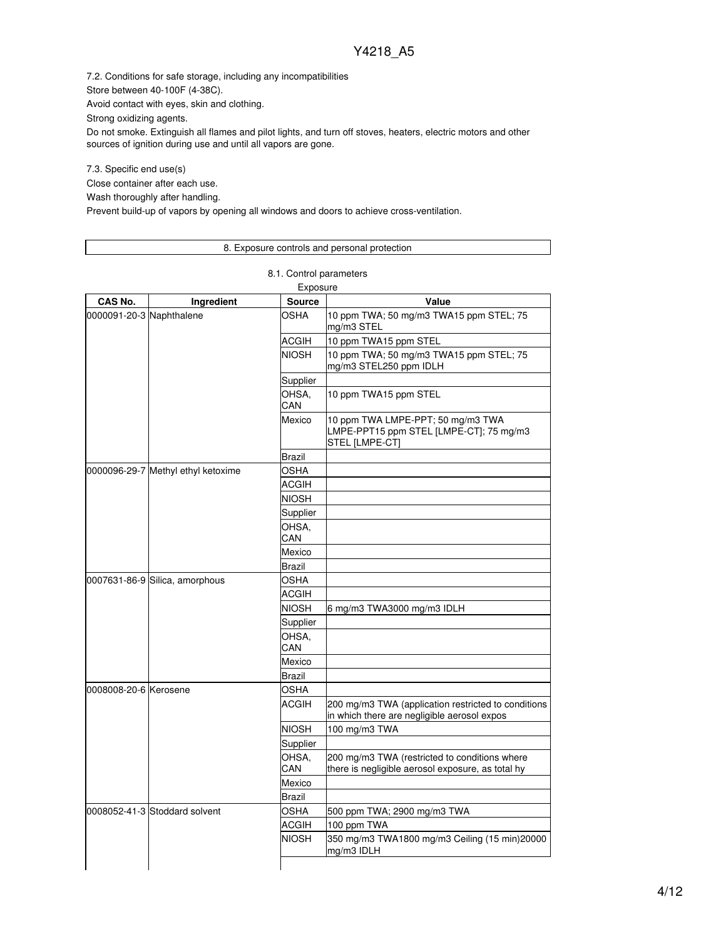7.2. Conditions for safe storage, including any incompatibilities

Store between 40-100F (4-38C).

Avoid contact with eyes, skin and clothing.

Strong oxidizing agents.

Do not smoke. Extinguish all flames and pilot lights, and turn off stoves, heaters, electric motors and other sources of ignition during use and until all vapors are gone.

7.3. Specific end use(s)

Close container after each use.

Wash thoroughly after handling.

Prevent build-up of vapors by opening all windows and doors to achieve cross-ventilation.

## 8. Exposure controls and personal protection

8.1. Control parameters

|                          |                                    | Exposure      |                                                                                                    |
|--------------------------|------------------------------------|---------------|----------------------------------------------------------------------------------------------------|
| CAS No.                  | Ingredient                         | <b>Source</b> | Value                                                                                              |
| 0000091-20-3 Naphthalene |                                    | OSHA          | 10 ppm TWA; 50 mg/m3 TWA15 ppm STEL; 75<br>mg/m3 STEL                                              |
|                          |                                    | ACGIH         | 10 ppm TWA15 ppm STEL                                                                              |
|                          |                                    | <b>NIOSH</b>  | 10 ppm TWA; 50 mg/m3 TWA15 ppm STEL; 75<br>mg/m3 STEL250 ppm IDLH                                  |
|                          |                                    | Supplier      |                                                                                                    |
|                          |                                    | OHSA,<br>CAN  | 10 ppm TWA15 ppm STEL                                                                              |
|                          |                                    | Mexico        | 10 ppm TWA LMPE-PPT; 50 mg/m3 TWA<br>LMPE-PPT15 ppm STEL [LMPE-CT]; 75 mg/m3<br>STEL [LMPE-CT]     |
|                          |                                    | Brazil        |                                                                                                    |
|                          | 0000096-29-7 Methyl ethyl ketoxime | <b>OSHA</b>   |                                                                                                    |
|                          |                                    | <b>ACGIH</b>  |                                                                                                    |
|                          |                                    | NIOSH         |                                                                                                    |
|                          |                                    | Supplier      |                                                                                                    |
|                          |                                    | OHSA,<br>CAN  |                                                                                                    |
|                          |                                    | Mexico        |                                                                                                    |
|                          |                                    | Brazil        |                                                                                                    |
|                          | 0007631-86-9 Silica, amorphous     | OSHA          |                                                                                                    |
|                          |                                    | ACGIH         |                                                                                                    |
|                          |                                    | NIOSH         | 6 mg/m3 TWA3000 mg/m3 IDLH                                                                         |
|                          |                                    | Supplier      |                                                                                                    |
|                          |                                    | OHSA.<br>CAN  |                                                                                                    |
|                          |                                    | Mexico        |                                                                                                    |
|                          |                                    | Brazil        |                                                                                                    |
| 0008008-20-6 Kerosene    |                                    | OSHA          |                                                                                                    |
|                          |                                    | <b>ACGIH</b>  | 200 mg/m3 TWA (application restricted to conditions<br>in which there are negligible aerosol expos |
|                          |                                    | <b>NIOSH</b>  | 100 mg/m3 TWA                                                                                      |
|                          |                                    | Supplier      |                                                                                                    |
|                          |                                    | OHSA,<br>CAN  | 200 mg/m3 TWA (restricted to conditions where<br>there is negligible aerosol exposure, as total hy |
|                          |                                    | Mexico        |                                                                                                    |
|                          |                                    | Brazil        |                                                                                                    |
|                          | 0008052-41-3 Stoddard solvent      | OSHA          | 500 ppm TWA; 2900 mg/m3 TWA                                                                        |
|                          |                                    | ACGIH         | 100 ppm TWA                                                                                        |
|                          |                                    | <b>NIOSH</b>  | 350 mg/m3 TWA1800 mg/m3 Ceiling (15 min)20000<br>mg/m3 IDLH                                        |
|                          |                                    |               |                                                                                                    |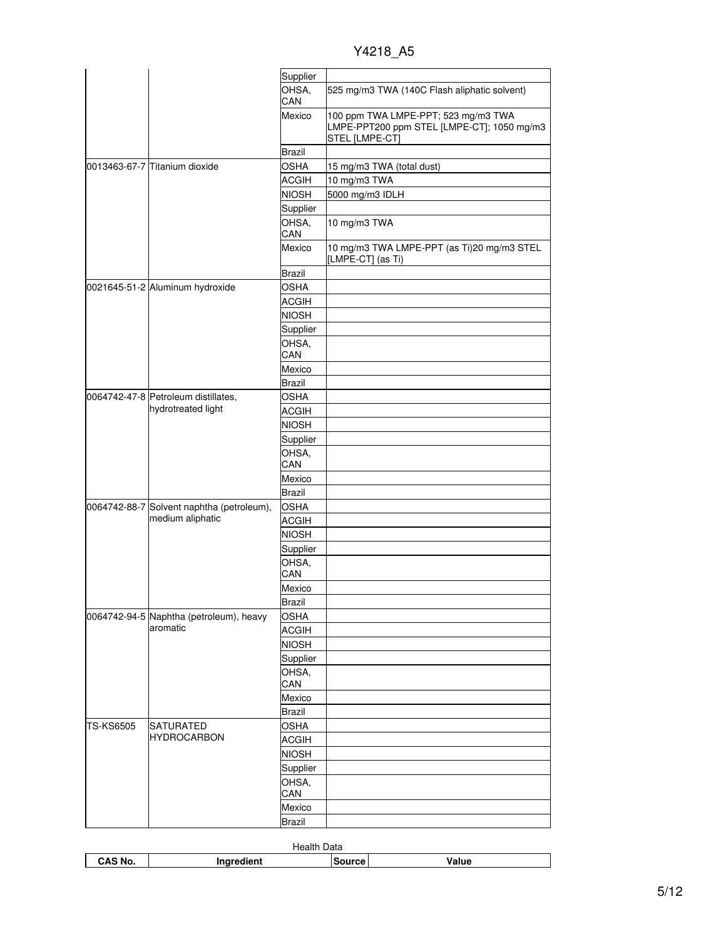| Y4218 A5 |  |
|----------|--|
|          |  |

|           |                                           | Supplier         |                                                                                                     |
|-----------|-------------------------------------------|------------------|-----------------------------------------------------------------------------------------------------|
|           |                                           | OHSA,<br>CAN     | 525 mg/m3 TWA (140C Flash aliphatic solvent)                                                        |
|           |                                           | Mexico           | 100 ppm TWA LMPE-PPT; 523 mg/m3 TWA<br>LMPE-PPT200 ppm STEL [LMPE-CT]; 1050 mg/m3<br>STEL [LMPE-CT] |
|           |                                           | <b>Brazil</b>    |                                                                                                     |
|           | l0013463-67-7 lTitanium dioxide           | <b>OSHA</b>      | 15 mg/m3 TWA (total dust)                                                                           |
|           |                                           | <b>ACGIH</b>     | 10 mg/m3 TWA                                                                                        |
|           |                                           | <b>NIOSH</b>     | 5000 mg/m3 IDLH                                                                                     |
|           |                                           | Supplier         |                                                                                                     |
|           |                                           | OHSA,            | 10 mg/m3 TWA                                                                                        |
|           |                                           | CAN              |                                                                                                     |
|           |                                           | Mexico           | 10 mg/m3 TWA LMPE-PPT (as Ti)20 mg/m3 STEL<br>[LMPE-CT] (as Ti)                                     |
|           |                                           | <b>Brazil</b>    |                                                                                                     |
|           | 0021645-51-2 Aluminum hydroxide           | <b>OSHA</b>      |                                                                                                     |
|           |                                           | <b>ACGIH</b>     |                                                                                                     |
|           |                                           | <b>NIOSH</b>     |                                                                                                     |
|           |                                           | Supplier         |                                                                                                     |
|           |                                           | OHSA,            |                                                                                                     |
|           |                                           | CAN              |                                                                                                     |
|           |                                           | Mexico           |                                                                                                     |
|           |                                           | Brazil           |                                                                                                     |
|           | 0064742-47-8 Petroleum distillates,       | <b>OSHA</b>      |                                                                                                     |
|           | hydrotreated light                        | <b>ACGIH</b>     |                                                                                                     |
|           |                                           | <b>NIOSH</b>     |                                                                                                     |
|           |                                           | Supplier         |                                                                                                     |
|           |                                           | OHSA,<br>CAN     |                                                                                                     |
|           |                                           | Mexico           |                                                                                                     |
|           |                                           | <b>Brazil</b>    |                                                                                                     |
|           | 0064742-88-7 Solvent naphtha (petroleum), | OSHA             |                                                                                                     |
|           | medium aliphatic                          | <b>ACGIH</b>     |                                                                                                     |
|           |                                           | <b>NIOSH</b>     |                                                                                                     |
|           |                                           | Supplier         |                                                                                                     |
|           |                                           | OHSA,            |                                                                                                     |
|           |                                           | CAN              |                                                                                                     |
|           |                                           | Mexico           |                                                                                                     |
|           |                                           | <b>Brazil</b>    |                                                                                                     |
|           | 0064742-94-5 Naphtha (petroleum), heavy   | <b>OSHA</b>      |                                                                                                     |
|           | aromatic                                  | <b>ACGIH</b>     |                                                                                                     |
|           |                                           | <b>NIOSH</b>     |                                                                                                     |
|           |                                           | Supplier         |                                                                                                     |
|           |                                           | OHSA,<br>CAN     |                                                                                                     |
|           |                                           |                  |                                                                                                     |
|           |                                           | Mexico<br>Brazil |                                                                                                     |
| TS-KS6505 | SATURATED                                 | <b>OSHA</b>      |                                                                                                     |
|           | HYDROCARBON                               | <b>ACGIH</b>     |                                                                                                     |
|           |                                           | <b>NIOSH</b>     |                                                                                                     |
|           |                                           | Supplier         |                                                                                                     |
|           |                                           | OHSA,            |                                                                                                     |
|           |                                           | CAN              |                                                                                                     |
|           |                                           | Mexico           |                                                                                                     |
|           |                                           | <b>Brazil</b>    |                                                                                                     |

| Data<br>Health |                     |        |       |
|----------------|---------------------|--------|-------|
| CAS No.        | redient.<br>------- | ource' | Value |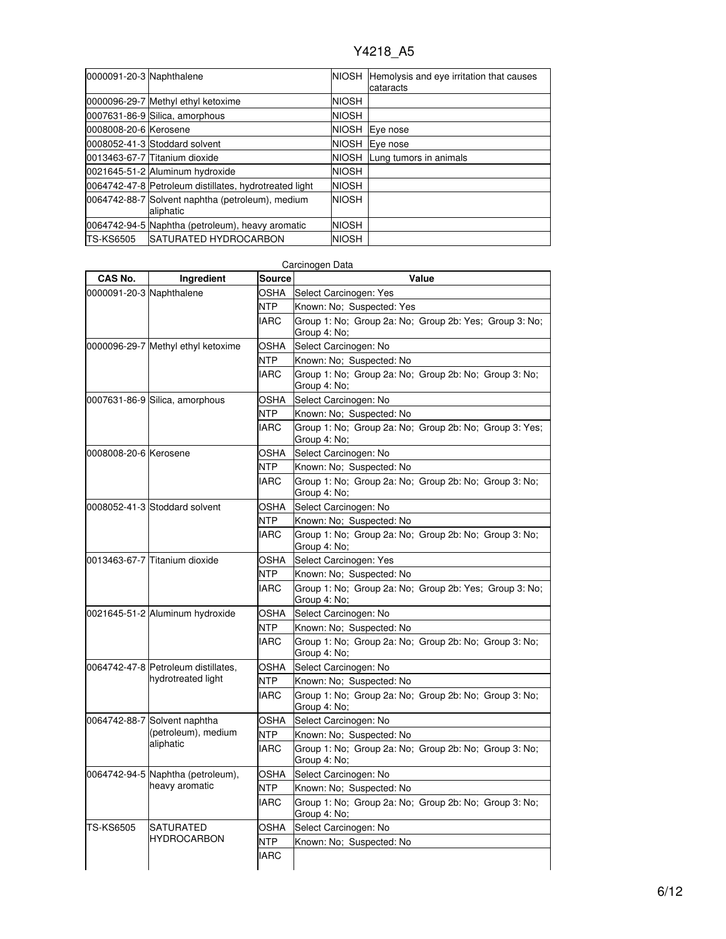| 0000091-20-3 Naphthalene |                                                               |              | NIOSH Hemolysis and eye irritation that causes<br>cataracts |
|--------------------------|---------------------------------------------------------------|--------------|-------------------------------------------------------------|
|                          | 0000096-29-7 Methyl ethyl ketoxime                            | NIOSH        |                                                             |
|                          | 0007631-86-9 Silica, amorphous                                | <b>NIOSH</b> |                                                             |
| 0008008-20-6 Kerosene    |                                                               | <b>NIOSH</b> | Eye nose                                                    |
|                          | 0008052-41-3 Stoddard solvent                                 | <b>NIOSH</b> | Eye nose                                                    |
|                          | 0013463-67-7 Titanium dioxide                                 | <b>NIOSH</b> | Lung tumors in animals                                      |
|                          | 0021645-51-2 Aluminum hydroxide                               | <b>NIOSH</b> |                                                             |
|                          | 0064742-47-8 Petroleum distillates, hydrotreated light        | <b>NIOSH</b> |                                                             |
|                          | 0064742-88-7 Solvent naphtha (petroleum), medium<br>aliphatic | <b>NIOSH</b> |                                                             |
|                          | 0064742-94-5 Naphtha (petroleum), heavy aromatic              | <b>NIOSH</b> |                                                             |
| <b>TS-KS6505</b>         | <b>ISATURATED HYDROCARBON</b>                                 | <b>NIOSH</b> |                                                             |

|                          |                                                           |               | Carcinogen Data                                                        |
|--------------------------|-----------------------------------------------------------|---------------|------------------------------------------------------------------------|
| <b>CAS No.</b>           | Ingredient                                                | <b>Source</b> | Value                                                                  |
| 0000091-20-3 Naphthalene |                                                           | OSHA          | Select Carcinogen: Yes                                                 |
|                          |                                                           | NTP           | Known: No; Suspected: Yes                                              |
|                          |                                                           | <b>IARC</b>   | Group 1: No: Group 2a: No: Group 2b: Yes: Group 3: No:<br>Group 4: No; |
|                          | 0000096-29-7 Methyl ethyl ketoxime                        | OSHA          | Select Carcinogen: No                                                  |
|                          |                                                           | NTP           | Known: No; Suspected: No                                               |
|                          |                                                           | IARC          | Group 1: No; Group 2a: No; Group 2b: No; Group 3: No;<br>Group 4: No:  |
|                          | 0007631-86-9 Silica, amorphous                            | OSHA          | Select Carcinogen: No                                                  |
|                          |                                                           | <b>NTP</b>    | Known: No; Suspected: No                                               |
|                          |                                                           | <b>IARC</b>   | Group 1: No; Group 2a: No; Group 2b: No; Group 3: Yes;<br>Group 4: No; |
| 0008008-20-6 Kerosene    |                                                           | OSHA          | Select Carcinogen: No                                                  |
|                          |                                                           | <b>NTP</b>    | Known: No; Suspected: No                                               |
|                          |                                                           | <b>IARC</b>   | Group 1: No; Group 2a: No; Group 2b: No; Group 3: No;<br>Group 4: No;  |
|                          | 0008052-41-3 Stoddard solvent                             | OSHA          | Select Carcinogen: No                                                  |
|                          |                                                           | NTP           | Known: No; Suspected: No                                               |
|                          |                                                           | <b>IARC</b>   | Group 1: No; Group 2a: No; Group 2b: No; Group 3: No;<br>Group 4: No;  |
|                          | 0013463-67-7 Titanium dioxide                             | OSHA          | Select Carcinogen: Yes                                                 |
|                          |                                                           | NTP           | Known: No: Suspected: No                                               |
|                          |                                                           | IARC          | Group 1: No; Group 2a: No; Group 2b: Yes; Group 3: No;<br>Group 4: No; |
|                          | 0021645-51-2 Aluminum hydroxide                           | OSHA          | Select Carcinogen: No                                                  |
|                          |                                                           | <b>NTP</b>    | Known: No; Suspected: No                                               |
|                          |                                                           | <b>IARC</b>   | Group 1: No; Group 2a: No; Group 2b: No; Group 3: No;<br>Group 4: No;  |
|                          | 0064742-47-8 Petroleum distillates,<br>hydrotreated light | OSHA          | Select Carcinogen: No                                                  |
|                          |                                                           | NTP           | Known: No; Suspected: No                                               |
|                          |                                                           | <b>IARC</b>   | Group 1: No; Group 2a: No; Group 2b: No; Group 3: No;<br>Group 4: No;  |
|                          | 0064742-88-7 Solvent naphtha                              | OSHA          | Select Carcinogen: No                                                  |
|                          | (petroleum), medium<br>aliphatic                          | NTP           | Known: No; Suspected: No                                               |
|                          |                                                           | <b>IARC</b>   | Group 1: No; Group 2a: No; Group 2b: No; Group 3: No;<br>Group 4: No;  |
|                          | 0064742-94-5 Naphtha (petroleum),<br>heavy aromatic       | OSHA          | Select Carcinogen: No                                                  |
|                          |                                                           | NTP           | Known: No; Suspected: No                                               |
|                          |                                                           | <b>IARC</b>   | Group 1: No; Group 2a: No; Group 2b: No; Group 3: No;<br>Group 4: No;  |
| <b>TS-KS6505</b>         | <b>SATURATED</b>                                          | OSHA          | Select Carcinogen: No                                                  |
|                          | <b>HYDROCARBON</b>                                        | <b>NTP</b>    | Known: No; Suspected: No                                               |
|                          |                                                           | <b>IARC</b>   |                                                                        |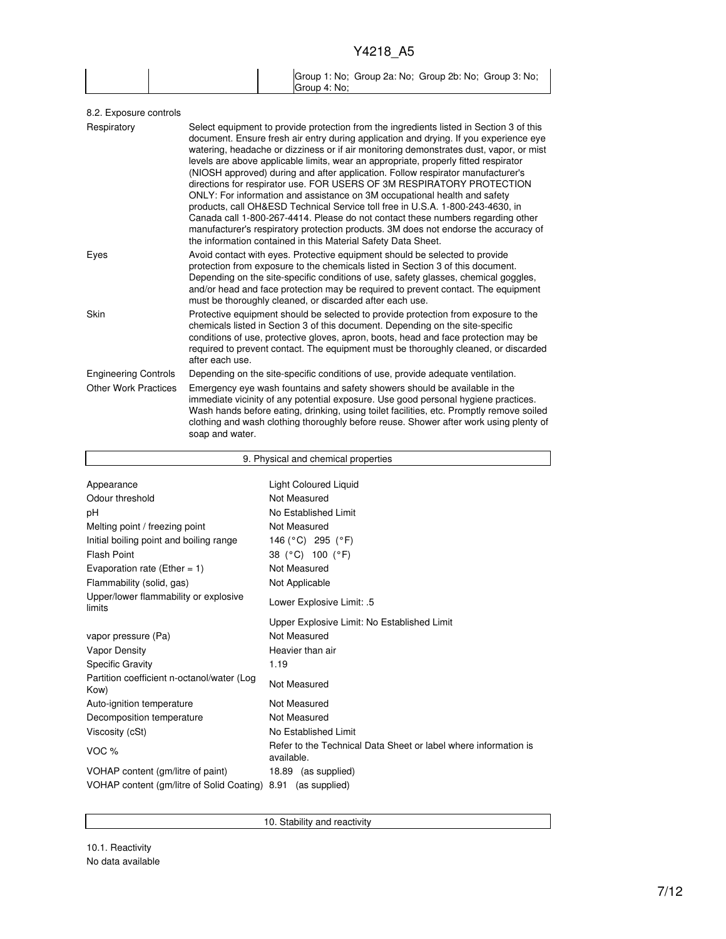|  | Group 1: No; Group 2a: No; Group 2b: No; Group 3: No; |
|--|-------------------------------------------------------|
|  | Group 4: No:                                          |

| 8.2. Exposure controls      |                                                                                                                                                                                                                                                                                                                                                                                                                                                                                                                                                                                                                                                                                                                                                                                                                                                                                                                                         |
|-----------------------------|-----------------------------------------------------------------------------------------------------------------------------------------------------------------------------------------------------------------------------------------------------------------------------------------------------------------------------------------------------------------------------------------------------------------------------------------------------------------------------------------------------------------------------------------------------------------------------------------------------------------------------------------------------------------------------------------------------------------------------------------------------------------------------------------------------------------------------------------------------------------------------------------------------------------------------------------|
| Respiratory                 | Select equipment to provide protection from the ingredients listed in Section 3 of this<br>document. Ensure fresh air entry during application and drying. If you experience eye<br>watering, headache or dizziness or if air monitoring demonstrates dust, vapor, or mist<br>levels are above applicable limits, wear an appropriate, properly fitted respirator<br>(NIOSH approved) during and after application. Follow respirator manufacturer's<br>directions for respirator use. FOR USERS OF 3M RESPIRATORY PROTECTION<br>ONLY: For information and assistance on 3M occupational health and safety<br>products, call OH&ESD Technical Service toll free in U.S.A. 1-800-243-4630, in<br>Canada call 1-800-267-4414. Please do not contact these numbers regarding other<br>manufacturer's respiratory protection products. 3M does not endorse the accuracy of<br>the information contained in this Material Safety Data Sheet. |
| Eyes                        | Avoid contact with eyes. Protective equipment should be selected to provide<br>protection from exposure to the chemicals listed in Section 3 of this document.<br>Depending on the site-specific conditions of use, safety glasses, chemical goggles,<br>and/or head and face protection may be required to prevent contact. The equipment<br>must be thoroughly cleaned, or discarded after each use.                                                                                                                                                                                                                                                                                                                                                                                                                                                                                                                                  |
| Skin                        | Protective equipment should be selected to provide protection from exposure to the<br>chemicals listed in Section 3 of this document. Depending on the site-specific<br>conditions of use, protective gloves, apron, boots, head and face protection may be<br>required to prevent contact. The equipment must be thoroughly cleaned, or discarded<br>after each use.                                                                                                                                                                                                                                                                                                                                                                                                                                                                                                                                                                   |
| <b>Engineering Controls</b> | Depending on the site-specific conditions of use, provide adequate ventilation.                                                                                                                                                                                                                                                                                                                                                                                                                                                                                                                                                                                                                                                                                                                                                                                                                                                         |
| <b>Other Work Practices</b> | Emergency eye wash fountains and safety showers should be available in the<br>immediate vicinity of any potential exposure. Use good personal hygiene practices.<br>Wash hands before eating, drinking, using toilet facilities, etc. Promptly remove soiled<br>clothing and wash clothing thoroughly before reuse. Shower after work using plenty of<br>soap and water.                                                                                                                                                                                                                                                                                                                                                                                                                                                                                                                                                                |
|                             |                                                                                                                                                                                                                                                                                                                                                                                                                                                                                                                                                                                                                                                                                                                                                                                                                                                                                                                                         |

| 9. Physical and chemical properties                          |                                                                               |  |  |  |
|--------------------------------------------------------------|-------------------------------------------------------------------------------|--|--|--|
|                                                              |                                                                               |  |  |  |
| Appearance                                                   | <b>Light Coloured Liquid</b>                                                  |  |  |  |
| Odour threshold                                              | Not Measured                                                                  |  |  |  |
| рH                                                           | No Established Limit                                                          |  |  |  |
| Melting point / freezing point                               | Not Measured                                                                  |  |  |  |
| Initial boiling point and boiling range                      | 146 (°C) 295 (°F)                                                             |  |  |  |
| <b>Flash Point</b>                                           | 38 (°C) 100 (°F)                                                              |  |  |  |
| Evaporation rate (Ether = $1$ )                              | Not Measured                                                                  |  |  |  |
| Flammability (solid, gas)                                    | Not Applicable                                                                |  |  |  |
| Upper/lower flammability or explosive<br>limits              | Lower Explosive Limit: .5                                                     |  |  |  |
|                                                              | Upper Explosive Limit: No Established Limit                                   |  |  |  |
| vapor pressure (Pa)                                          | Not Measured                                                                  |  |  |  |
| <b>Vapor Density</b>                                         | Heavier than air                                                              |  |  |  |
| <b>Specific Gravity</b>                                      | 1.19                                                                          |  |  |  |
| Partition coefficient n-octanol/water (Log<br>Kow)           | Not Measured                                                                  |  |  |  |
| Auto-ignition temperature                                    | Not Measured                                                                  |  |  |  |
| Decomposition temperature                                    | Not Measured                                                                  |  |  |  |
| Viscosity (cSt)                                              | No Established Limit                                                          |  |  |  |
| VOC $%$                                                      | Refer to the Technical Data Sheet or label where information is<br>available. |  |  |  |
| VOHAP content (gm/litre of paint)                            | 18.89 (as supplied)                                                           |  |  |  |
| VOHAP content (gm/litre of Solid Coating) 8.91 (as supplied) |                                                                               |  |  |  |

10. Stability and reactivity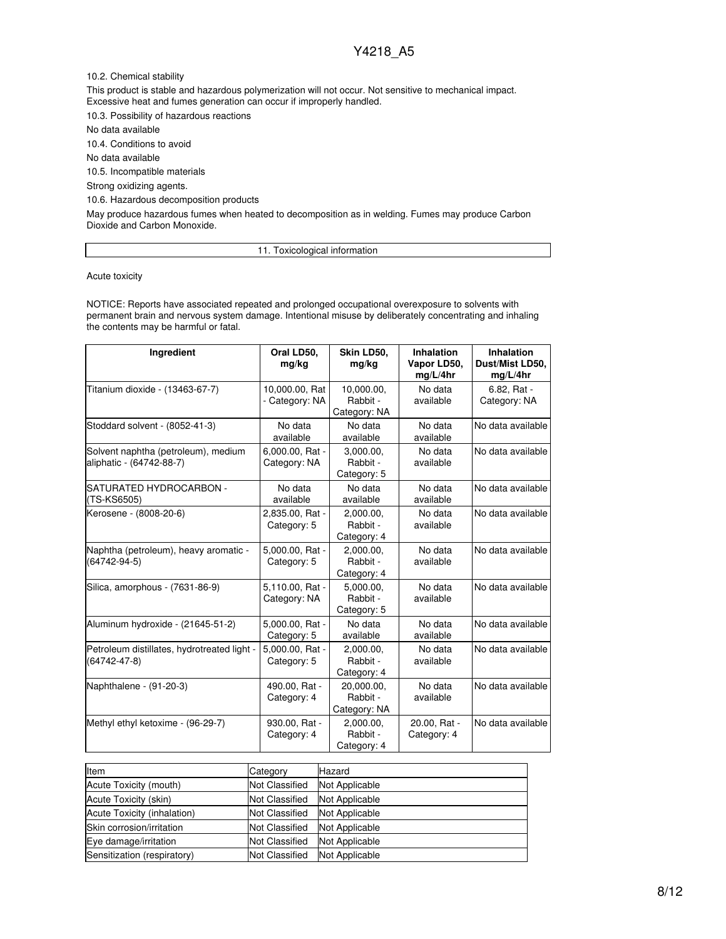10.2. Chemical stability

This product is stable and hazardous polymerization will not occur. Not sensitive to mechanical impact. Excessive heat and fumes generation can occur if improperly handled.

10.3. Possibility of hazardous reactions

No data available

10.4. Conditions to avoid

No data available

10.5. Incompatible materials

Strong oxidizing agents.

10.6. Hazardous decomposition products

May produce hazardous fumes when heated to decomposition as in welding. Fumes may produce Carbon Dioxide and Carbon Monoxide.

### 11. Toxicological information

Acute toxicity

NOTICE: Reports have associated repeated and prolonged occupational overexposure to solvents with permanent brain and nervous system damage. Intentional misuse by deliberately concentrating and inhaling the contents may be harmful or fatal.

| Ingredient                                                      | Oral LD50,<br>mg/kg              | Skin LD50,<br>mg/kg                    | <b>Inhalation</b><br>Vapor LD50,<br>mg/L/4hr | <b>Inhalation</b><br>Dust/Mist LD50,<br>mg/L/4hr |
|-----------------------------------------------------------------|----------------------------------|----------------------------------------|----------------------------------------------|--------------------------------------------------|
| Titanium dioxide - (13463-67-7)                                 | 10,000.00, Rat<br>- Category: NA | 10,000.00,<br>Rabbit -<br>Category: NA | No data<br>available                         | 6.82, Rat -<br>Category: NA                      |
| Stoddard solvent - (8052-41-3)                                  | No data<br>available             | No data<br>available                   | No data<br>available                         | No data available                                |
| Solvent naphtha (petroleum), medium<br>aliphatic - (64742-88-7) | 6,000.00, Rat -<br>Category: NA  | 3,000.00,<br>Rabbit -<br>Category: 5   | No data<br>available                         | No data available                                |
| SATURATED HYDROCARBON -<br>(TS-KS6505)                          | No data<br>available             | No data<br>available                   | No data<br>available                         | No data available                                |
| Kerosene - (8008-20-6)                                          | 2,835.00, Rat -<br>Category: 5   | 2.000.00.<br>Rabbit -<br>Category: 4   | No data<br>available                         | No data available                                |
| Naphtha (petroleum), heavy aromatic -<br>(64742-94-5)           | 5,000.00, Rat -<br>Category: 5   | 2,000.00,<br>Rabbit -<br>Category: 4   | No data<br>available                         | No data available                                |
| Silica, amorphous - (7631-86-9)                                 | 5,110.00, Rat -<br>Category: NA  | 5.000.00.<br>Rabbit -<br>Category: 5   | No data<br>available                         | No data available                                |
| Aluminum hydroxide - (21645-51-2)                               | 5,000.00, Rat -<br>Category: 5   | No data<br>available                   | No data<br>available                         | No data available                                |
| Petroleum distillates, hydrotreated light -<br>(64742-47-8)     | 5.000.00. Rat -<br>Category: 5   | 2.000.00.<br>Rabbit -<br>Category: 4   | No data<br>available                         | No data available                                |
| Naphthalene - (91-20-3)                                         | 490.00, Rat -<br>Category: 4     | 20,000.00,<br>Rabbit -<br>Category: NA | No data<br>available                         | No data available                                |
| Methyl ethyl ketoxime - (96-29-7)                               | 930.00, Rat -<br>Category: 4     | 2,000.00,<br>Rabbit -<br>Category: 4   | 20.00, Rat -<br>Category: 4                  | No data available                                |

| Item                        | Category              | Hazard         |
|-----------------------------|-----------------------|----------------|
| Acute Toxicity (mouth)      | <b>Not Classified</b> | Not Applicable |
| Acute Toxicity (skin)       | <b>Not Classified</b> | Not Applicable |
| Acute Toxicity (inhalation) | <b>Not Classified</b> | Not Applicable |
| Skin corrosion/irritation   | <b>Not Classified</b> | Not Applicable |
| Eye damage/irritation       | <b>Not Classified</b> | Not Applicable |
| Sensitization (respiratory) | <b>Not Classified</b> | Not Applicable |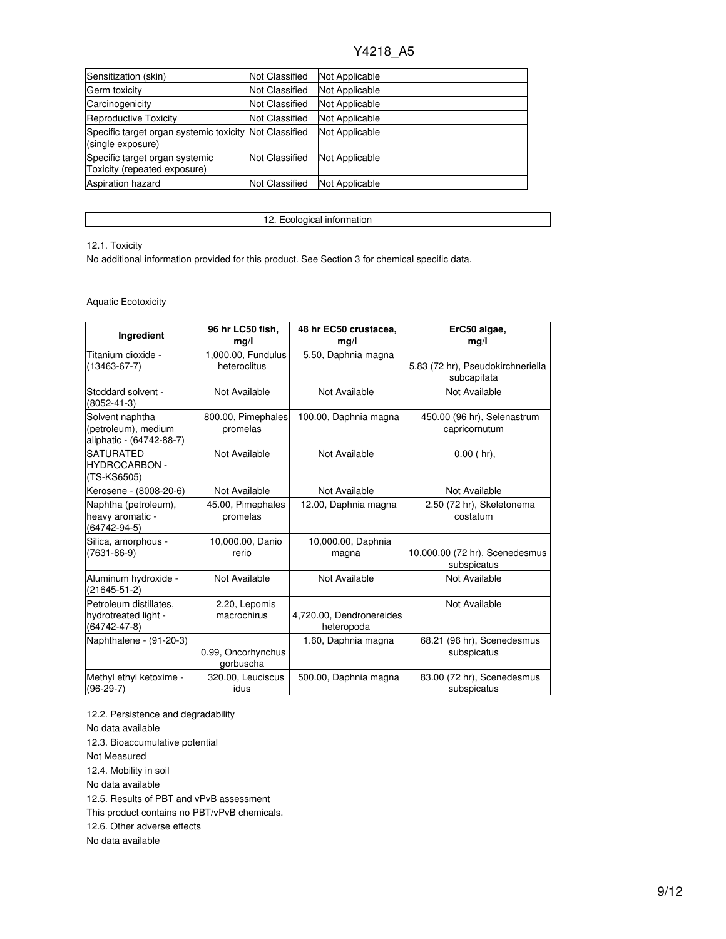| Sensitization (skin)                                                        | <b>Not Classified</b> | Not Applicable |
|-----------------------------------------------------------------------------|-----------------------|----------------|
| Germ toxicity                                                               | <b>Not Classified</b> | Not Applicable |
| Carcinogenicity                                                             | <b>Not Classified</b> | Not Applicable |
| Reproductive Toxicity                                                       | <b>Not Classified</b> | Not Applicable |
| Specific target organ systemic toxicity Not Classified<br>(single exposure) |                       | Not Applicable |
| Specific target organ systemic<br>Toxicity (repeated exposure)              | <b>Not Classified</b> | Not Applicable |
| <b>Aspiration hazard</b>                                                    | <b>Not Classified</b> | Not Applicable |

12. Ecological information

### 12.1. Toxicity

No additional information provided for this product. See Section 3 for chemical specific data.

## Aquatic Ecotoxicity

| Ingredient                                                         | 96 hr LC50 fish,<br>mg/l           | 48 hr EC50 crustacea,<br>mg/l          | ErC50 algae,<br>mg/l                             |
|--------------------------------------------------------------------|------------------------------------|----------------------------------------|--------------------------------------------------|
| Titanium dioxide -<br>$(13463 - 67 - 7)$                           | 1,000.00, Fundulus<br>heteroclitus | 5.50, Daphnia magna                    | 5.83 (72 hr), Pseudokirchneriella<br>subcapitata |
| Stoddard solvent -<br>(8052-41-3)                                  | Not Available                      | Not Available                          | Not Available                                    |
| Solvent naphtha<br>(petroleum), medium<br>aliphatic - (64742-88-7) | 800.00, Pimephales<br>promelas     | 100.00, Daphnia magna                  | 450.00 (96 hr), Selenastrum<br>capricornutum     |
| <b>SATURATED</b><br><b>HYDROCARBON -</b><br>(TS-KS6505)            | Not Available                      | Not Available                          | $0.00$ (hr),                                     |
| Kerosene - (8008-20-6)                                             | Not Available                      | Not Available                          | Not Available                                    |
| Naphtha (petroleum),<br>heavy aromatic -<br>(64742-94-5)           | 45.00, Pimephales<br>promelas      | 12.00, Daphnia magna                   | 2.50 (72 hr), Skeletonema<br>costatum            |
| Silica, amorphous -<br>$(7631 - 86 - 9)$                           | 10,000.00, Danio<br>rerio          | 10,000.00, Daphnia<br>magna            | 10,000.00 (72 hr), Scenedesmus<br>subspicatus    |
| Aluminum hydroxide -<br>(21645-51-2)                               | Not Available                      | Not Available                          | Not Available                                    |
| Petroleum distillates,<br>hydrotreated light -<br>(64742-47-8)     | 2.20, Lepomis<br>macrochirus       | 4,720.00, Dendronereides<br>heteropoda | Not Available                                    |
| Naphthalene - (91-20-3)                                            | 0.99, Oncorhynchus<br>gorbuscha    | 1.60, Daphnia magna                    | 68.21 (96 hr), Scenedesmus<br>subspicatus        |
| Methyl ethyl ketoxime -<br>$(96-29-7)$                             | 320.00, Leuciscus<br>idus          | 500.00, Daphnia magna                  | 83.00 (72 hr), Scenedesmus<br>subspicatus        |

12.2. Persistence and degradability No data available 12.3. Bioaccumulative potential Not Measured 12.4. Mobility in soil No data available 12.5. Results of PBT and vPvB assessment This product contains no PBT/vPvB chemicals. 12.6. Other adverse effects No data available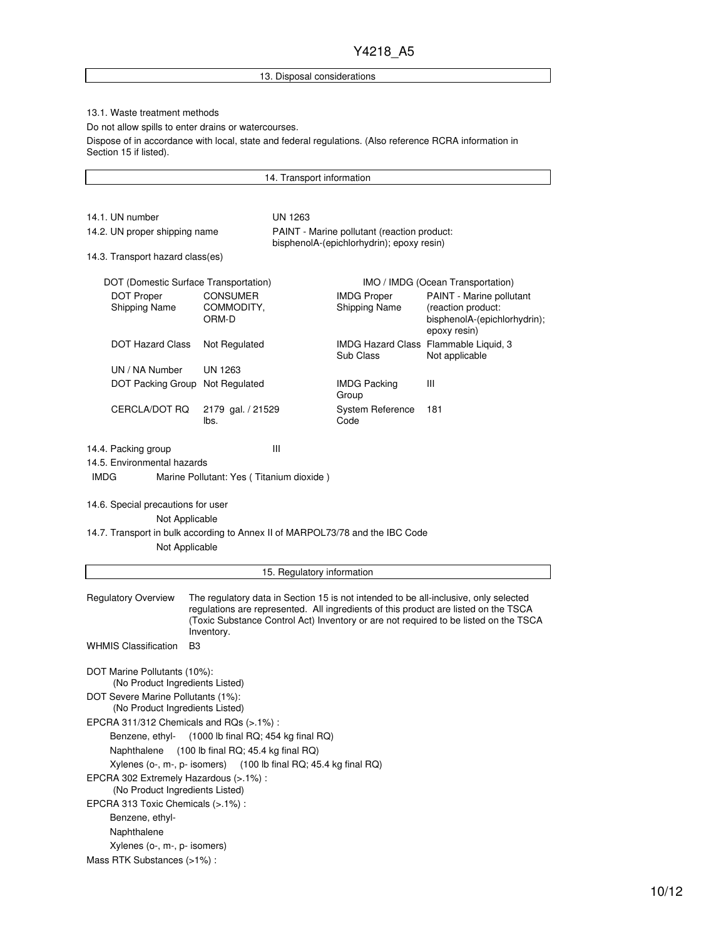### 13. Disposal considerations

14. Transport information

### 13.1. Waste treatment methods

Do not allow spills to enter drains or watercourses.

Dispose of in accordance with local, state and federal regulations. (Also reference RCRA information in Section 15 if listed).

14.1. UN number UN 1263 14.2. UN proper shipping name PAINT - Marine pollutant (reaction product: bisphenolA-(epichlorhydrin); epoxy resin) 14.3. Transport hazard class(es) DOT (Domestic Surface Transportation) **IMO / IMDG** (Ocean Transportation) DOT Proper Shipping Name CONSUMER COMMODITY, ORM-D IMDG Proper Shipping Name PAINT - Marine pollutant (reaction product: bisphenolA-(epichlorhydrin); epoxy resin) DOT Hazard Class Not Regulated **IMDG Hazard Class Flammable Liquid,** 3 Sub Class Not applicable UN / NA Number UN 1263 DOT Packing Group Not Regulated IMDG Packing Group III CERCLA/DOT RQ 2179 gal. / 21529 lbs. System Reference Code 181 14.4. Packing group III 14.5. Environmental hazards IMDG Marine Pollutant: Yes ( Titanium dioxide ) 14.6. Special precautions for user Not Applicable 14.7. Transport in bulk according to Annex II of MARPOL73/78 and the IBC Code Not Applicable 15. Regulatory information Regulatory Overview The regulatory data in Section 15 is not intended to be all-inclusive, only selected regulations are represented. All ingredients of this product are listed on the TSCA (Toxic Substance Control Act) Inventory or are not required to be listed on the TSCA Inventory. WHMIS Classification B3 DOT Marine Pollutants (10%): (No Product Ingredients Listed) DOT Severe Marine Pollutants (1%): (No Product Ingredients Listed) EPCRA 311/312 Chemicals and RQs (>.1%) : Benzene, ethyl- (1000 lb final RQ; 454 kg final RQ) Naphthalene (100 lb final RQ; 45.4 kg final RQ) Xylenes (o-, m-, p- isomers) (100 lb final RQ; 45.4 kg final RQ) EPCRA 302 Extremely Hazardous (>.1%) :

(No Product Ingredients Listed)

EPCRA 313 Toxic Chemicals (>.1%) :

Benzene, ethyl-

Naphthalene

Xylenes (o-, m-, p- isomers)

Mass RTK Substances (>1%) :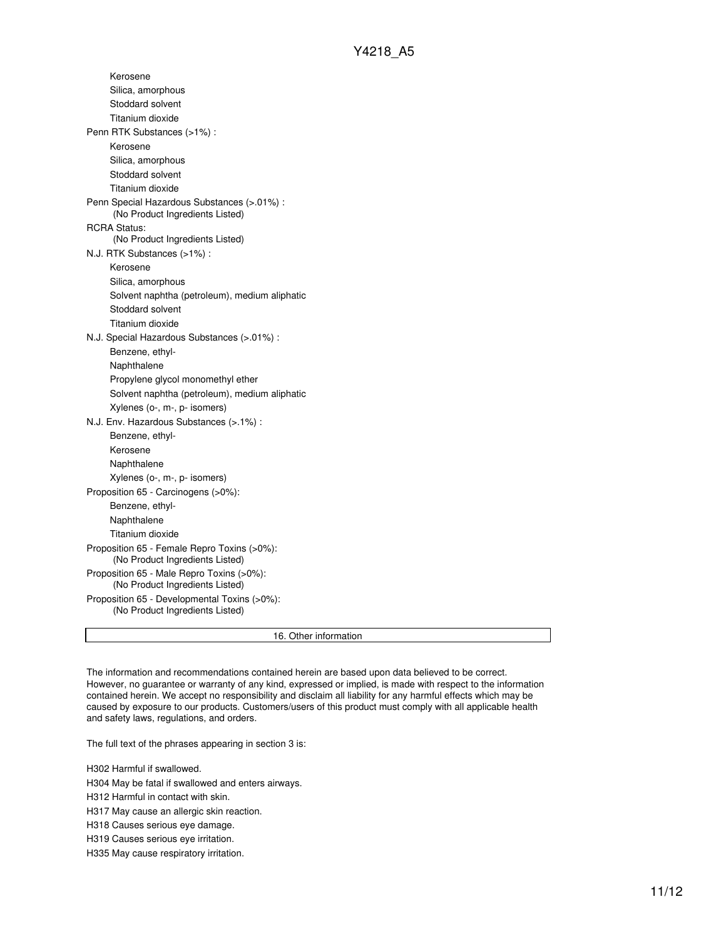Kerosene Silica, amorphous Stoddard solvent Titanium dioxide Penn RTK Substances (>1%) : Kerosene Silica, amorphous Stoddard solvent Titanium dioxide Penn Special Hazardous Substances (>.01%) : (No Product Ingredients Listed) RCRA Status: (No Product Ingredients Listed) N.J. RTK Substances (>1%) : Kerosene Silica, amorphous Solvent naphtha (petroleum), medium aliphatic Stoddard solvent Titanium dioxide N.J. Special Hazardous Substances (>.01%) : Benzene, ethyl-Naphthalene Propylene glycol monomethyl ether Solvent naphtha (petroleum), medium aliphatic Xylenes (o-, m-, p- isomers) N.J. Env. Hazardous Substances (>.1%) : Benzene, ethyl-Kerosene Naphthalene Xylenes (o-, m-, p- isomers) Proposition 65 - Carcinogens (>0%): Benzene, ethyl-Naphthalene Titanium dioxide Proposition 65 - Female Repro Toxins (>0%): (No Product Ingredients Listed) Proposition 65 - Male Repro Toxins (>0%): (No Product Ingredients Listed) Proposition 65 - Developmental Toxins (>0%): (No Product Ingredients Listed)

16. Other information

The information and recommendations contained herein are based upon data believed to be correct. However, no guarantee or warranty of any kind, expressed or implied, is made with respect to the information contained herein. We accept no responsibility and disclaim all liability for any harmful effects which may be caused by exposure to our products. Customers/users of this product must comply with all applicable health and safety laws, regulations, and orders.

The full text of the phrases appearing in section 3 is:

H302 Harmful if swallowed.

H304 May be fatal if swallowed and enters airways.

H312 Harmful in contact with skin.

H317 May cause an allergic skin reaction.

H318 Causes serious eye damage.

H319 Causes serious eye irritation.

H335 May cause respiratory irritation.